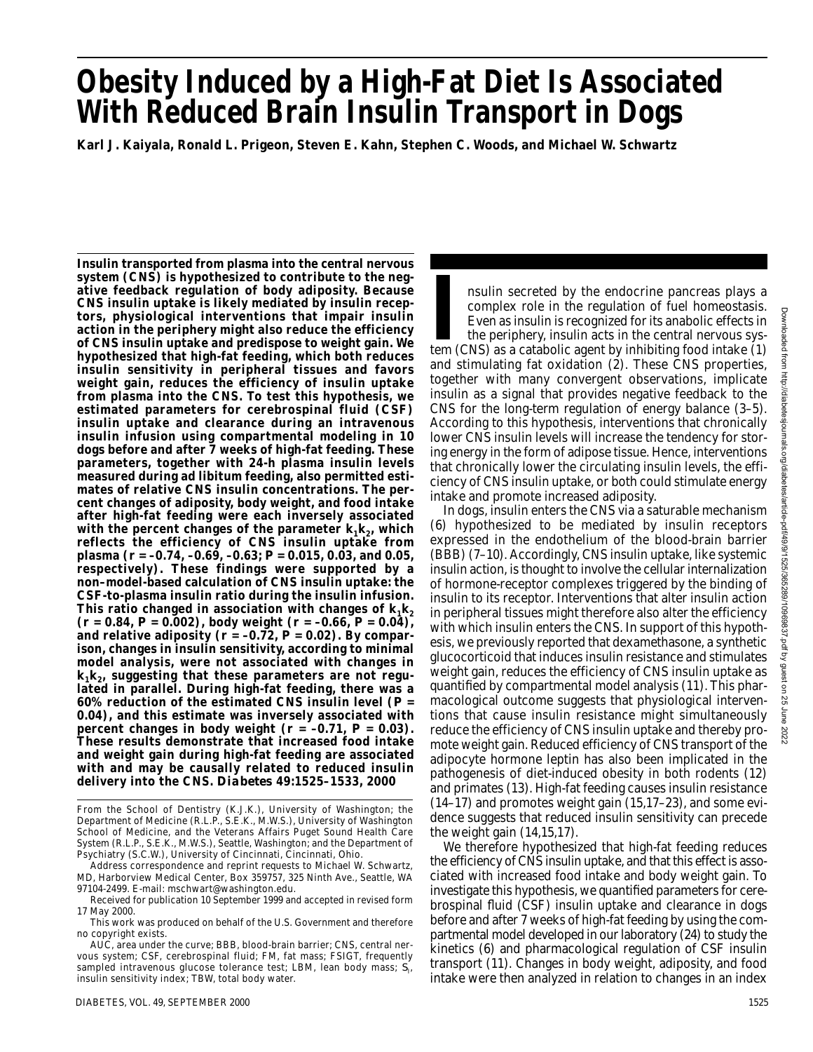# **Obesity Induced by a High-Fat Diet Is Associated With Reduced Brain Insulin Transport in Dogs**

**Karl J. Kaiyala, Ronald L. Prigeon, Steven E. Kahn, Stephen C. Woods, and Michael W. Schwartz**

**Insulin transported from plasma into the central nervous system (CNS) is hypothesized to contribute to the negative feedback regulation of body adiposity. Because CNS insulin uptake is likely mediated by insulin receptors, physiological interventions that impair insulin action in the periphery might also reduce the efficiency of CNS insulin uptake and predispose to weight gain. We hypothesized that high-fat feeding, which both reduces insulin sensitivity in peripheral tissues and favors weight gain, reduces the efficiency of insulin uptake from plasma into the CNS. To test this hypothesis, we estimated parameters for cerebrospinal fluid (CSF) insulin uptake and clearance during an intravenous insulin infusion using compartmental modeling in 10 dogs before and after 7 weeks of high-fat feeding. These parameters, together with 24-h plasma insulin levels measured during ad libitum feeding, also permitted estimates of relative CNS insulin concentrations. The percent changes of adiposity, body weight, and food intake after high-fat feeding were each inversely associated** with the percent changes of the parameter  $k_1k_2$ , which **reflects the efficiency of CNS insulin uptake from plasma (***r* **= –0.74, –0.69, –0.63;** *P* **= 0.015, 0.03, and 0.05, respectively). These findings were supported by a non–model-based calculation of CNS insulin uptake: the CSF-to-plasma insulin ratio during the insulin infusion.** This ratio changed in association with changes of  $k_1 k_2$ **(***r* **= 0.84,** *P* **= 0.002), body weight (***r* **= –0.66,** *P* **= 0.04),** and relative adiposity  $(r = -0.72, P = 0.02)$ . By compar**ison, changes in insulin sensitivity, according to minimal model analysis, were not associated with changes in**  $k_1 k_2$ , suggesting that these parameters are not regu**lated in parallel. During high-fat feeding, there was a 60% reduction of the estimated CNS insulin level (***P* **= 0.04), and this estimate was inversely associated with percent changes in body weight (***r* **= –0.71,** *P* **= 0.03). These results demonstrate that increased food intake and weight gain during high-fat feeding are associated with and may be causally related to reduced insulin delivery into the CNS.** *Diabetes* **49:1525–1533, 2000**

In secreted by the endocrine pancreas plays a complex role in the regulation of fuel homeostasis. Even as insulin is recognized for its anabolic effects in the periphery, insulin acts in the central nervous system (CNS) as nsulin secreted by the endocrine pancreas plays a complex role in the regulation of fuel homeostasis. Even as insulin is recognized for its anabolic effects in the periphery, insulin acts in the central nervous sysand stimulating fat oxidation (2). These CNS properties, together with many convergent observations, implicate insulin as a signal that provides negative feedback to the CNS for the long-term regulation of energy balance (3–5). According to this hypothesis, interventions that chronically lower CNS insulin levels will increase the tendency for storing energy in the form of adipose tissue. Hence, interventions that chronically lower the circulating insulin levels, the efficiency of CNS insulin uptake, or both could stimulate energy intake and promote increased adiposity.

In dogs, insulin enters the CNS via a saturable mechanism (6) hypothesized to be mediated by insulin receptors expressed in the endothelium of the blood-brain barrier (BBB) (7–10). Accordingly, CNS insulin uptake, like systemic insulin action, is thought to involve the cellular internalization of hormone-receptor complexes triggered by the binding of insulin to its receptor. Interventions that alter insulin action in peripheral tissues might therefore also alter the efficiency with which insulin enters the CNS. In support of this hypothesis, we previously reported that dexamethasone, a synthetic glucocorticoid that induces insulin resistance and stimulates weight gain, reduces the efficiency of CNS insulin uptake as quantified by compartmental model analysis (11). This pharmacological outcome suggests that physiological interventions that cause insulin resistance might simultaneously reduce the efficiency of CNS insulin uptake and thereby promote weight gain. Reduced efficiency of CNS transport of the adipocyte hormone leptin has also been implicated in the pathogenesis of diet-induced obesity in both rodents (12) and primates (13). High-fat feeding causes insulin resistance (14–17) and promotes weight gain (15,17–23), and some evidence suggests that reduced insulin sensitivity can precede the weight gain (14,15,17).

We therefore hypothesized that high-fat feeding reduces the efficiency of CNS insulin uptake, and that this effect is associated with increased food intake and body weight gain. To investigate this hypothesis, we quantified parameters for cerebrospinal fluid (CSF) insulin uptake and clearance in dogs before and after 7 weeks of high-fat feeding by using the compartmental model developed in our laboratory (24) to study the kinetics (6) and pharmacological regulation of CSF insulin transport (11). Changes in body weight, adiposity, and food intake were then analyzed in relation to changes in an index

From the School of Dentistry (K.J.K.), University of Washington; the Department of Medicine (R.L.P., S.E.K., M.W.S.), University of Washington School of Medicine, and the Veterans Affairs Puget Sound Health Care System (R.L.P., S.E.K., M.W.S.), Seattle, Washington; and the Department of Psychiatry (S.C.W.), University of Cincinnati, Cincinnati, Ohio.

Address correspondence and reprint requests to Michael W. Schwartz, MD, Harborview Medical Center, Box 359757, 325 Ninth Ave., Seattle, WA 97104-2499. E-mail: mschwart@washington.edu.

Received for publication 10 September 1999 and accepted in revised form 17 May 2000.

This work was produced on behalf of the U.S. Government and therefore no copyright exists.

AUC, area under the curve; BBB, blood-brain barrier; CNS, central nervous system; CSF, cerebrospinal fluid; FM, fat mass; FSIGT, frequently sampled intravenous glucose tolerance test; LBM, lean body mass; S<sub>I</sub>, insulin sensitivity index; TBW, total body water.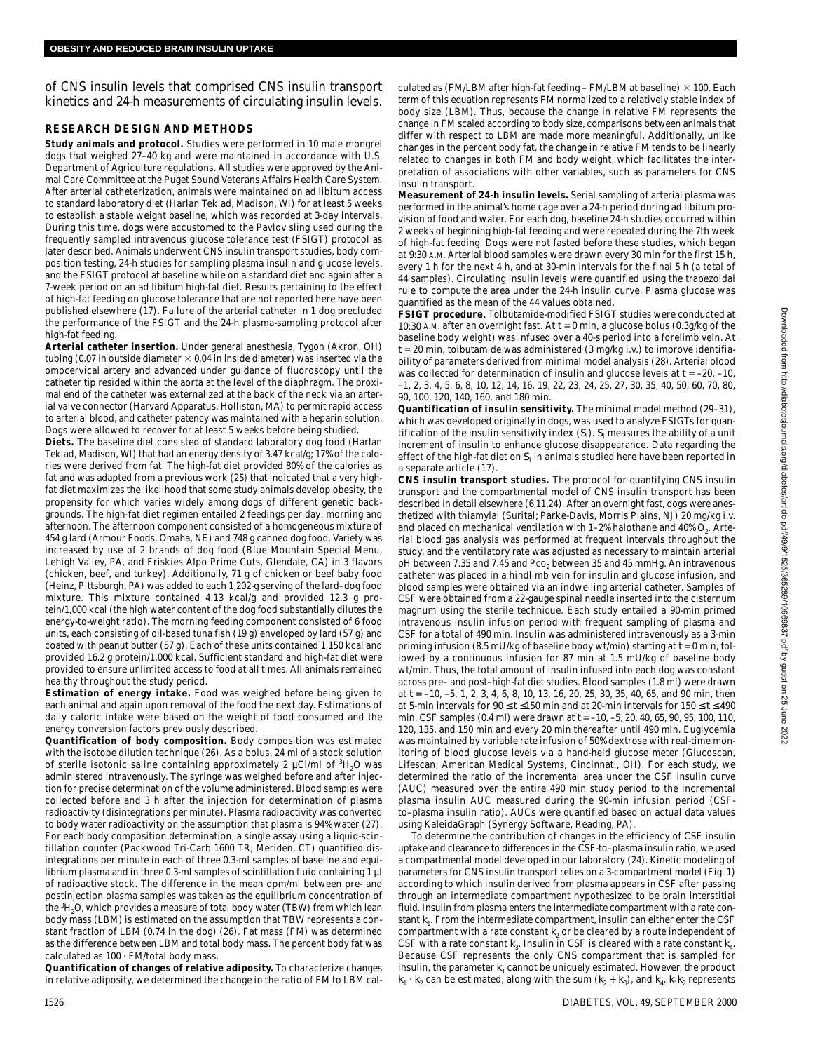of CNS insulin levels that comprised CNS insulin transport kinetics and 24-h measurements of circulating insulin levels.

### **RESEARCH DESIGN AND METHODS**

**Study animals and protocol.** Studies were performed in 10 male mongrel dogs that weighed 27–40 kg and were maintained in accordance with U.S. Department of Agriculture regulations. All studies were approved by the Animal Care Committee at the Puget Sound Veterans Affairs Health Care System. After arterial catheterization, animals were maintained on ad libitum access to standard laboratory diet (Harlan Teklad, Madison, WI) for at least 5 weeks to establish a stable weight baseline, which was recorded at 3-day intervals. During this time, dogs were accustomed to the Pavlov sling used during the frequently sampled intravenous glucose tolerance test (FSIGT) protocol as later described. Animals underwent CNS insulin transport studies, body composition testing, 24-h studies for sampling plasma insulin and glucose levels, and the FSIGT protocol at baseline while on a standard diet and again after a 7-week period on an ad libitum high-fat diet. Results pertaining to the effect of high-fat feeding on glucose tolerance that are not reported here have been published elsewhere (17). Failure of the arterial catheter in 1 dog precluded the performance of the FSIGT and the 24-h plasma-sampling protocol after high-fat feeding.

**Arterial catheter insertion.** Under general anesthesia, Tygon (Akron, OH) tubing (0.07 in outside diameter  $\times$  0.04 in inside diameter) was inserted via the omocervical artery and advanced under guidance of fluoroscopy until the catheter tip resided within the aorta at the level of the diaphragm. The proximal end of the catheter was externalized at the back of the neck via an arterial valve connector (Harvard Apparatus, Holliston, MA) to permit rapid access to arterial blood, and catheter patency was maintained with a heparin solution. Dogs were allowed to recover for at least 5 weeks before being studied.

**Diets.** The baseline diet consisted of standard laboratory dog food (Harlan Teklad, Madison, WI) that had an energy density of 3.47 kcal/g; 17% of the calories were derived from fat. The high-fat diet provided 80% of the calories as fat and was adapted from a previous work (25) that indicated that a very highfat diet maximizes the likelihood that some study animals develop obesity, the propensity for which varies widely among dogs of different genetic backgrounds. The high-fat diet regimen entailed 2 feedings per day: morning and afternoon. The afternoon component consisted of a homogeneous mixture of 454 g lard (Armour Foods, Omaha, NE) and 748 g canned dog food. Variety was increased by use of 2 brands of dog food (Blue Mountain Special Menu, Lehigh Valley, PA, and Friskies Alpo Prime Cuts, Glendale, CA) in 3 flavors (chicken, beef, and turkey). Additionally, 71 g of chicken or beef baby food (Heinz, Pittsburgh, PA) was added to each 1,202-g serving of the lard–dog food mixture. This mixture contained 4.13 kcal/g and provided 12.3 g protein/1,000 kcal (the high water content of the dog food substantially dilutes the energy-to-weight ratio). The morning feeding component consisted of 6 food units, each consisting of oil-based tuna fish (19 g) enveloped by lard (57 g) and coated with peanut butter (57 g). Each of these units contained 1,150 kcal and provided 16.2 g protein/1,000 kcal. Sufficient standard and high-fat diet were provided to ensure unlimited access to food at all times. All animals remained healthy throughout the study period.

**Estimation of energy intake.** Food was weighed before being given to each animal and again upon removal of the food the next day. Estimations of daily caloric intake were based on the weight of food consumed and the energy conversion factors previously described.

**Quantification of body composition.** Body composition was estimated with the isotope dilution technique (26). As a bolus, 24 ml of a stock solution of sterile isotonic saline containing approximately 2  $\mu$ Ci/ml of  ${}^{3}H_{2}O$  was administered intravenously. The syringe was weighed before and after injection for precise determination of the volume administered. Blood samples were collected before and 3 h after the injection for determination of plasma radioactivity (disintegrations per minute). Plasma radioactivity was converted to body water radioactivity on the assumption that plasma is 94% water (27). For each body composition determination, a single assay using a liquid-scintillation counter (Packwood Tri-Carb 1600 TR; Meriden, CT) quantified disintegrations per minute in each of three 0.3-ml samples of baseline and equilibrium plasma and in three 0.3-ml samples of scintillation fluid containing 1 µl of radioactive stock. The difference in the mean dpm/ml between pre- and postinjection plasma samples was taken as the equilibrium concentration of the <sup>3</sup>H<sub>2</sub>O, which provides a measure of total body water (TBW) from which lean body mass (LBM) is estimated on the assumption that TBW represents a constant fraction of LBM (0.74 in the dog) (26). Fat mass (FM) was determined as the difference between LBM and total body mass. The percent body fat was calculated as 100 · FM/total body mass.

**Quantification of changes of relative adiposity.** To characterize changes in relative adiposity, we determined the change in the ratio of FM to LBM cal-

culated as (FM/LBM after high-fat feeding – FM/LBM at baseline)  $\times$  100. Each term of this equation represents FM normalized to a relatively stable index of body size (LBM). Thus, because the change in relative FM represents the change in FM scaled according to body size, comparisons between animals that differ with respect to LBM are made more meaningful. Additionally, unlike changes in the percent body fat, the change in relative FM tends to be linearly related to changes in both FM and body weight, which facilitates the interpretation of associations with other variables, such as parameters for CNS insulin transport.

**Measurement of 24-h insulin levels.** Serial sampling of arterial plasma was performed in the animal's home cage over a 24-h period during ad libitum provision of food and water. For each dog, baseline 24-h studies occurred within 2 weeks of beginning high-fat feeding and were repeated during the 7th week of high-fat feeding. Dogs were not fasted before these studies, which began at 9:30 A.M. Arterial blood samples were drawn every 30 min for the first 15 h, every 1 h for the next 4 h, and at 30-min intervals for the final 5 h (a total of 44 samples). Circulating insulin levels were quantified using the trapezoidal rule to compute the area under the 24-h insulin curve. Plasma glucose was quantified as the mean of the 44 values obtained.

**FSIGT procedure.** Tolbutamide-modified FSIGT studies were conducted at 10:30 A.M. after an overnight fast. At  $t = 0$  min, a glucose bolus  $(0.3g/kg$  of the baseline body weight) was infused over a 40-s period into a forelimb vein. At *t* = 20 min, tolbutamide was administered (3 mg/kg i.v.) to improve identifiability of parameters derived from minimal model analysis (28). Arterial blood was collected for determination of insulin and glucose levels at *t* = –20, –10, –1, 2, 3, 4, 5, 6, 8, 10, 12, 14, 16, 19, 22, 23, 24, 25, 27, 30, 35, 40, 50, 60, 70, 80, 90, 100, 120, 140, 160, and 180 min.

**Quantification of insulin sensitivity.** The minimal model method (29–31), which was developed originally in dogs, was used to analyze FSIGTs for quantification of the insulin sensitivity index  $(\mathcal{S}_{\mathsf{I}})$ .  $\mathcal{S}_{\mathsf{I}}$  measures the ability of a unit increment of insulin to enhance glucose disappearance. Data regarding the effect of the high-fat diet on  $S<sub>I</sub>$  in animals studied here have been reported in a separate article (17).

**CNS insulin transport studies.** The protocol for quantifying CNS insulin transport and the compartmental model of CNS insulin transport has been described in detail elsewhere (6,11,24). After an overnight fast, dogs were anesthetized with thiamylal (Surital; Parke-Davis, Morris Plains, NJ) 20 mg/kg i.v. and placed on mechanical ventilation with  $1-2%$  halothane and  $40%$  O<sub>2</sub>. Arterial blood gas analysis was performed at frequent intervals throughout the study, and the ventilatory rate was adjusted as necessary to maintain arterial pH between 7.35 and 7.45 and Pco<sub>2</sub> between 35 and 45 mmHg. An intravenous catheter was placed in a hindlimb vein for insulin and glucose infusion, and blood samples were obtained via an indwelling arterial catheter. Samples of CSF were obtained from a 22-gauge spinal needle inserted into the cisternum magnum using the sterile technique. Each study entailed a 90-min primed intravenous insulin infusion period with frequent sampling of plasma and CSF for a total of 490 min. Insulin was administered intravenously as a 3-min priming infusion (8.5 mU/kg of baseline body wt/min) starting at *t* = 0 min, followed by a continuous infusion for 87 min at 1.5 mU/kg of baseline body wt/min. Thus, the total amount of insulin infused into each dog was constant across pre– and post–high-fat diet studies. Blood samples (1.8 ml) were drawn at *t* = –10, –5, 1, 2, 3, 4, 6, 8, 10, 13, 16, 20, 25, 30, 35, 40, 65, and 90 min, then at 5-min intervals for  $90 \le t \le 150$  min and at 20-min intervals for  $150 \le t \le 490$ min. CSF samples (0.4 ml) were drawn at *t* = –10, –5, 20, 40, 65, 90, 95, 100, 110, 120, 135, and 150 min and every 20 min thereafter until 490 min. Euglycemia was maintained by variable rate infusion of 50% dextrose with real-time monitoring of blood glucose levels via a hand-held glucose meter (Glucoscan, Lifescan; American Medical Systems, Cincinnati, OH). For each study, we determined the ratio of the incremental area under the CSF insulin curve (AUC) measured over the entire 490 min study period to the incremental plasma insulin AUC measured during the 90-min infusion period (CSFto–plasma insulin ratio). AUCs were quantified based on actual data values using KaleidaGraph (Synergy Software, Reading, PA).

To determine the contribution of changes in the efficiency of CSF insulin uptake and clearance to differences in the CSF-to–plasma insulin ratio, we used a compartmental model developed in our laboratory (24). Kinetic modeling of parameters for CNS insulin transport relies on a 3-compartment model (Fig. 1) according to which insulin derived from plasma appears in CSF after passing through an intermediate compartment hypothesized to be brain interstitial fluid. Insulin from plasma enters the intermediate compartment with a rate constant  $k<sub>1</sub>$ . From the intermediate compartment, insulin can either enter the CSF compartment with a rate constant  $k_2$  or be cleared by a route independent of CSF with a rate constant  $k_3$ . Insulin in CSF is cleared with a rate constant  $k_4$ . Because CSF represents the only CNS compartment that is sampled for insulin, the parameter  $k_1$  cannot be uniquely estimated. However, the product  $k_1 \cdot k_2$  can be estimated, along with the sum  $(k_2 + k_3)$ , and  $k_4$ .  $k_1 k_2$  represents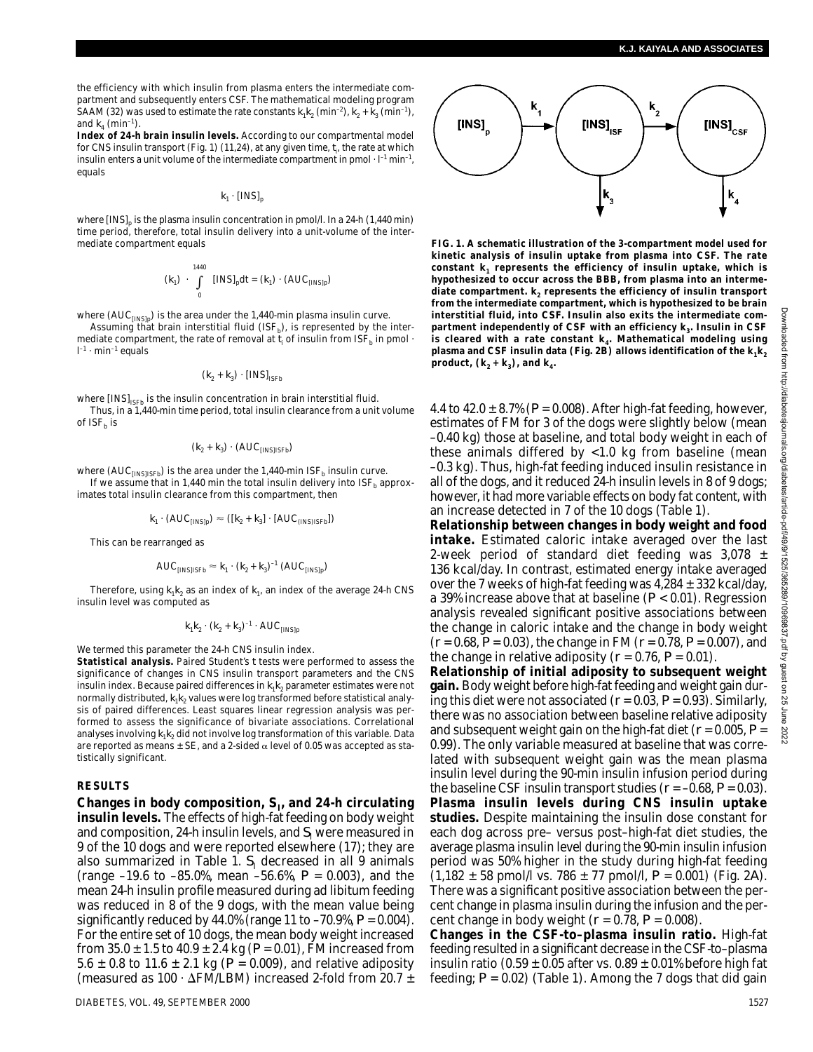the efficiency with which insulin from plasma enters the intermediate compartment and subsequently enters CSF. The mathematical modeling program SAAM (32) was used to estimate the rate constants  $k_1 k_2$  (min<sup>-2</sup>),  $k_2 + k_3$  (min<sup>-1</sup>), and  $k_4$  (min<sup>-1</sup>).

**Index of 24-h brain insulin levels.** According to our compartmental model for CNS insulin transport (Fig. 1) (11,24), at any given time,  $t_{\sf i}$ , the rate at which insulin enters a unit volume of the intermediate compartment in pmol  $\cdot$  l<sup>-1</sup> min<sup>-1</sup>, equals

 $k_1$  · [INS]<sub>p</sub>

where  $[INS]_p$  is the plasma insulin concentration in pmol/l. In a 24-h (1,440 min) time period, therefore, total insulin delivery into a unit-volume of the intermediate compartment equals

$$
(k_1) \cdot \int_{0}^{1440} [INS]_p dt = (k_1) \cdot (AUC_{[INS]p})
$$

where  ${\rm (AUC_{[INS]p})}$  is the area under the 1,440-min plasma insulin curve.

Assuming that brain interstitial fluid  $(ISF_b)$ , is represented by the intermediate compartment, the rate of removal at  $t_i$  of insulin from ISF<sub>b</sub> in pmol  $\cdot$  $\mathbf{l}^{-1}\cdot\mathbf{min}^{-1}$  equals

$$
(\textbf{\textit{k}}_2+\textbf{\textit{k}}_3)\cdot{\rm [INS]}_{\rm ISFb}
$$

where  $[INS]_{\text{ISFb}}$  is the insulin concentration in brain interstitial fluid. Thus, in a 1,440-min time period, total insulin clearance from a unit volume

of  $ISF<sub>b</sub>$  is

$$
(\textbf{\textit{k}}_2 + \textbf{\textit{k}}_3) \cdot (\text{AUC}_{\text{[INS]ISFb}})
$$

where  ${\rm (AUC_{[INS]ISFb})}$  is the area under the 1,440-min  ${\rm ISF_b}$  insulin curve. If we assume that in 1,440 min the total insulin delivery into  $ISF<sub>b</sub>$  approximates total insulin clearance from this compartment, then

$$
k_1 \cdot (\text{AUC}_{\text{[INS]p}}) \approx ([k_2 + k_3] \cdot [\text{AUC}_{\text{(INS)ISFb}}])
$$

This can be rearranged as

$$
AUC_{[INS]ISFb} \approx k_1 \cdot (k_2 + k_3)^{-1} (AUC_{[INS]p})
$$

Therefore, using  $k_1 k_2$  as an index of  $k_1$ , an index of the average 24-h CNS insulin level was computed as

$$
k_1k_2 \cdot (k_2 + k_3)^{-1} \cdot \text{AUC}_{\text{[INS]p}}
$$

We termed this parameter the 24-h CNS insulin index.

**Statistical analysis.** Paired Student's *t* tests were performed to assess the significance of changes in CNS insulin transport parameters and the CNS insulin index. Because paired differences in  $k_1k_2$  parameter estimates were not normally distributed,  $k_1k_2$  values were log transformed before statistical analysis of paired differences. Least squares linear regression analysis was performed to assess the significance of bivariate associations. Correlational analyses involving  $k_1k_2$  did not involve log transformation of this variable. Data are reported as means  $\pm$  SE, and a 2-sided  $\alpha$  level of 0.05 was accepted as statistically significant.

#### **RESULTS**

**Changes in body composition,** *S***I, and 24-h circulating insulin levels.** The effects of high-fat feeding on body weight and composition, 24-h insulin levels, and  $S<sub>I</sub>$  were measured in 9 of the 10 dogs and were reported elsewhere (17); they are also summarized in Table 1.  $S<sub>1</sub>$  decreased in all 9 animals (range –19.6 to –85.0%, mean –56.6%, *P* = 0.003), and the mean 24-h insulin profile measured during ad libitum feeding was reduced in 8 of the 9 dogs, with the mean value being significantly reduced by 44.0% (range 11 to  $-70.9$ %,  $P = 0.004$ ). For the entire set of 10 dogs, the mean body weight increased from  $35.0 \pm 1.5$  to  $40.9 \pm 2.4$  kg ( $P = 0.01$ ), FM increased from 5.6  $\pm$  0.8 to 11.6  $\pm$  2.1 kg (*P* = 0.009), and relative adiposity (measured as  $100 \cdot \Delta \text{FM/LBM}$ ) increased 2-fold from 20.7  $\pm$ 



**FIG. 1. A schematic illustration of the 3-compartment model used for kinetic analysis of insulin uptake from plasma into CSF. The rate constant** *k***<sup>1</sup> represents the efficiency of insulin uptake, which is hypothesized to occur across the BBB, from plasma into an intermediate compartment.** *k***<sup>2</sup> represents the efficiency of insulin transport from the intermediate compartment, which is hypothesized to be brain interstitial fluid, into CSF. Insulin also exits the intermediate com**partment independently of CSF with an efficiency  $k_3$ . Insulin in CSF is cleared with a rate constant  $k_4$ . Mathematical modeling using **plasma and CSF insulin data (Fig. 2***B***) allows identification of the**  $k_1k_2$ **product,**  $(k_2 + k_3)$ , and  $k_4$ .

4.4 to  $42.0 \pm 8.7\%$  ( $P = 0.008$ ). After high-fat feeding, however, estimates of FM for 3 of the dogs were slightly below (mean –0.40 kg) those at baseline, and total body weight in each of these animals differed by <1.0 kg from baseline (mean –0.3 kg). Thus, high-fat feeding induced insulin resistance in all of the dogs, and it reduced 24-h insulin levels in 8 of 9 dogs; however, it had more variable effects on body fat content, with an increase detected in 7 of the 10 dogs (Table 1).

**Relationship between changes in body weight and food intake.** Estimated caloric intake averaged over the last 2-week period of standard diet feeding was  $3,078 \pm$ 136 kcal/day. In contrast, estimated energy intake averaged over the 7 weeks of high-fat feeding was  $4,284 \pm 332$  kcal/day, a 39% increase above that at baseline (*P* < 0.01). Regression analysis revealed significant positive associations between the change in caloric intake and the change in body weight (*r* = 0.68, *P* = 0.03), the change in FM (*r* = 0.78, *P* = 0.007), and the change in relative adiposity  $(r = 0.76, P = 0.01)$ .

**Relationship of initial adiposity to subsequent weight gain.** Body weight before high-fat feeding and weight gain during this diet were not associated  $(r = 0.03, P = 0.93)$ . Similarly, there was no association between baseline relative adiposity and subsequent weight gain on the high-fat diet (*r* = 0.005, *P* = 0.99). The only variable measured at baseline that was correlated with subsequent weight gain was the mean plasma insulin level during the 90-min insulin infusion period during the baseline CSF insulin transport studies  $(r = -0.68, P = 0.03)$ . **Plasma insulin levels during CNS insulin uptake studies.** Despite maintaining the insulin dose constant for each dog across pre– versus post–high-fat diet studies, the average plasma insulin level during the 90-min insulin infusion period was 50% higher in the study during high-fat feeding  $(1,182 \pm 58 \text{ pmol/}1 \text{ vs. } 786 \pm 77 \text{ pmol/}1, P = 0.001)$  (Fig. 2*A*). There was a significant positive association between the percent change in plasma insulin during the infusion and the percent change in body weight  $(r = 0.78, P = 0.008)$ .

**Changes in the CSF-to–plasma insulin ratio.** High-fat feeding resulted in a significant decrease in the CSF-to–plasma insulin ratio  $(0.59 \pm 0.05$  after vs.  $0.89 \pm 0.01\%$  before high fat feeding; *P* = 0.02) (Table 1). Among the 7 dogs that did gain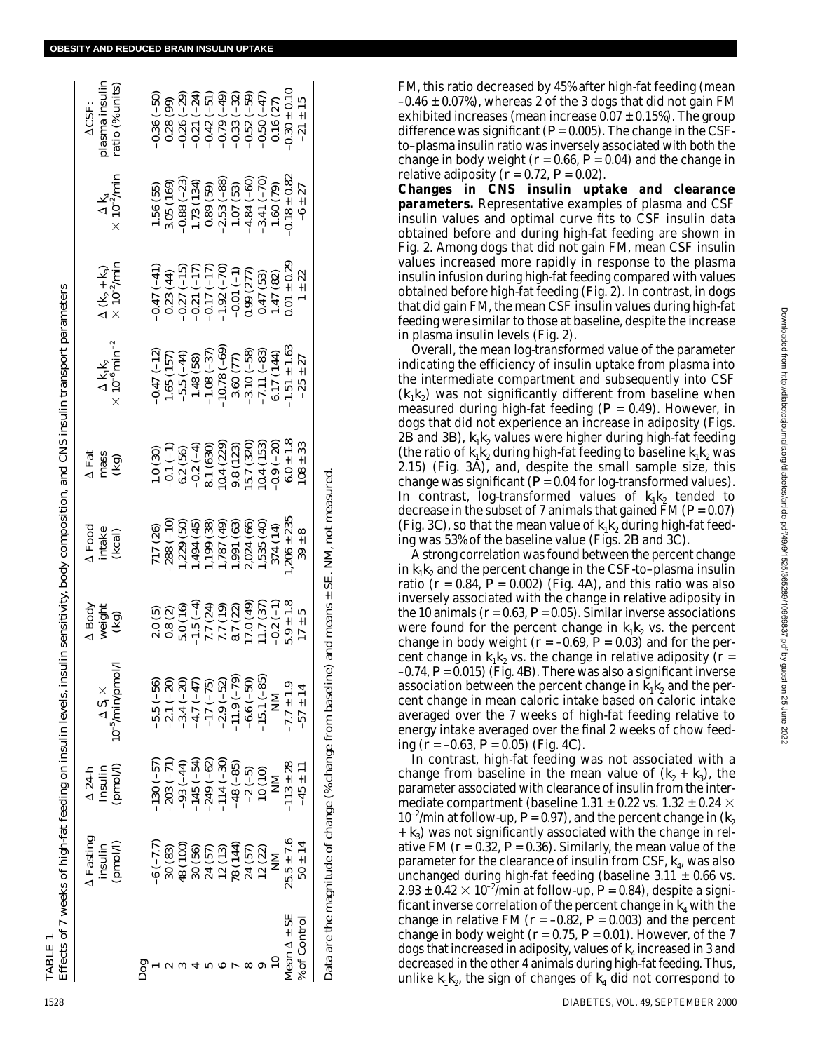| TABLE                |                                                          |                                      | Effects of 7 weeks of high-fat feeding on insulin levels, insulin sensitivity, body composition, and CNS insulin transport parameters |                                                                                                                     |                                                                                                                                                                                                               |                                                                                                                                                                                                                                                                                                       |                                                                                                                                                                                                                                           |                                                                                                                                                                                                                                                                                                                                                     |                                                                                                                          |                                                                                                                     |
|----------------------|----------------------------------------------------------|--------------------------------------|---------------------------------------------------------------------------------------------------------------------------------------|---------------------------------------------------------------------------------------------------------------------|---------------------------------------------------------------------------------------------------------------------------------------------------------------------------------------------------------------|-------------------------------------------------------------------------------------------------------------------------------------------------------------------------------------------------------------------------------------------------------------------------------------------------------|-------------------------------------------------------------------------------------------------------------------------------------------------------------------------------------------------------------------------------------------|-----------------------------------------------------------------------------------------------------------------------------------------------------------------------------------------------------------------------------------------------------------------------------------------------------------------------------------------------------|--------------------------------------------------------------------------------------------------------------------------|---------------------------------------------------------------------------------------------------------------------|
|                      | A Fasting<br>(pmol/l)<br>insulin                         | (pmol/l)<br>Insulin<br>$\Delta 24-h$ | 10 <sup>-5</sup> /min/pmol/l<br>$\Delta S_{\rm i} \times$                                                                             | $\begin{array}{c}\Delta\ \text{Body}\\ \text{weight}\\ \text{(kg)}\end{array}$                                      | $\Delta$ Food in<br>take (kcal)                                                                                                                                                                               | $\frac{\Delta \text{ Fat}}{\text{mass}}$                                                                                                                                                                                                                                                              | $\begin{array}{l} \Delta\, \mathbf{k}_1 \mathbf{k}_2 \ \times \, 10^{-6} \, \mathrm{min}^{\,-2} \end{array}$                                                                                                                              | $\begin{array}{l}\Delta\left(\mathbf{k}_{2}+\mathbf{k}_{3}\right)\\ \times\,10^{-2}/\mathrm{min}\end{array}$                                                                                                                                                                                                                                        | $\begin{array}{c}\Delta\, {\bf k}_4\ \times\, 10^{-2}/ {\rm min} \end{array}$                                            | olasma insulin<br>ratio (% units)<br><b>ACSF:</b>                                                                   |
| pog                  |                                                          |                                      |                                                                                                                                       |                                                                                                                     |                                                                                                                                                                                                               |                                                                                                                                                                                                                                                                                                       |                                                                                                                                                                                                                                           |                                                                                                                                                                                                                                                                                                                                                     |                                                                                                                          |                                                                                                                     |
|                      | $(7.7-)$                                                 | $(130 (-57))$                        | $-5.5(-56)$                                                                                                                           |                                                                                                                     |                                                                                                                                                                                                               |                                                                                                                                                                                                                                                                                                       |                                                                                                                                                                                                                                           |                                                                                                                                                                                                                                                                                                                                                     |                                                                                                                          | $(-50)$                                                                                                             |
|                      | 30 (83)                                                  | $203(-71)$                           | $-2.1(-20)$                                                                                                                           |                                                                                                                     |                                                                                                                                                                                                               |                                                                                                                                                                                                                                                                                                       |                                                                                                                                                                                                                                           |                                                                                                                                                                                                                                                                                                                                                     |                                                                                                                          | (99)                                                                                                                |
|                      | 48 (100)                                                 | $-93(-44)$                           |                                                                                                                                       |                                                                                                                     |                                                                                                                                                                                                               |                                                                                                                                                                                                                                                                                                       |                                                                                                                                                                                                                                           |                                                                                                                                                                                                                                                                                                                                                     |                                                                                                                          |                                                                                                                     |
|                      | 30 (56)                                                  | $-145 (-54)$                         | $-3.4 (-20)$<br>$-4.7 (-47)$                                                                                                          |                                                                                                                     |                                                                                                                                                                                                               |                                                                                                                                                                                                                                                                                                       |                                                                                                                                                                                                                                           |                                                                                                                                                                                                                                                                                                                                                     |                                                                                                                          |                                                                                                                     |
|                      | 24 (57)                                                  | $-249(-62)$                          | $-17(-75)$                                                                                                                            |                                                                                                                     |                                                                                                                                                                                                               |                                                                                                                                                                                                                                                                                                       |                                                                                                                                                                                                                                           |                                                                                                                                                                                                                                                                                                                                                     |                                                                                                                          |                                                                                                                     |
|                      |                                                          | $.114(-30)$                          | $-2.9(-52)$                                                                                                                           |                                                                                                                     |                                                                                                                                                                                                               |                                                                                                                                                                                                                                                                                                       |                                                                                                                                                                                                                                           |                                                                                                                                                                                                                                                                                                                                                     |                                                                                                                          |                                                                                                                     |
|                      | $12(13)$<br>78 $(144)$                                   | $-48 (-85)$                          | $-11.9(-79)$                                                                                                                          |                                                                                                                     |                                                                                                                                                                                                               |                                                                                                                                                                                                                                                                                                       |                                                                                                                                                                                                                                           |                                                                                                                                                                                                                                                                                                                                                     |                                                                                                                          |                                                                                                                     |
|                      | 24 (57)                                                  | $-2(-5)$                             | $-6.6(-50)$                                                                                                                           |                                                                                                                     |                                                                                                                                                                                                               |                                                                                                                                                                                                                                                                                                       |                                                                                                                                                                                                                                           |                                                                                                                                                                                                                                                                                                                                                     |                                                                                                                          |                                                                                                                     |
|                      | 12 (22)                                                  | 10(10)                               | $-15.1(-85)$                                                                                                                          |                                                                                                                     |                                                                                                                                                                                                               |                                                                                                                                                                                                                                                                                                       |                                                                                                                                                                                                                                           |                                                                                                                                                                                                                                                                                                                                                     |                                                                                                                          |                                                                                                                     |
|                      |                                                          | M                                    | $\mathsf{\Sigma}$                                                                                                                     | 0.8 (2)<br>5.0 (16)<br>7.7 (24)<br>7.7 (19)<br>7.7 (19)<br>8.7 (22)<br>8.7 (37)<br>17 ± 5<br>5.9 ± 17 ± 5<br>17 ± 5 | $\begin{array}{l} 717 \ (26) \\ -288 \ (-10) \\ 1,229 \ (50) \\ 1,494 \ (45) \\ 1,199 \ (33) \\ 1,787 \ (49) \\ 1,191 \ (66) \\ 2,024 \ (60) \\ 374 \ (14) \\ 374 \ (15) \\ 374 \ (14) \\ 38 + 8 \end{array}$ | 1.0 (30)<br>(-1)<br>(-1)<br>(-3)<br>(-3)<br>(-3)<br>(-3)<br>(-3)<br>(-3)<br>(-3)<br>(-3)<br>(-3)<br>(-3)<br>(-3)<br>(-3)<br>(-3)<br>(-3)<br>(-3)<br>(-3)<br>(-4)<br>(-4)<br>(-4)<br>(-4)<br>(-3)<br>(-2)<br>(-2)<br>(-4)<br>(-4)<br>(-3)<br>(-5)<br>(-5)<br>(-5)<br>(-4)<br>(-5)<br>(-5)<br>(-5)<br>( | $\begin{array}{l} -0.47\ (-12) \\ 1.65\ (157) \\ -5.5\ (-44) \\ -1.48\ (58) \\ -1.08\ (-37) \\ -1.08\ (-69) \\ -1.08\ (-69) \\ 3.60\ (77) \\ -3.10\ (-58) \\ -7.11\ (-83) \\ -7.11\ (-1.51\ \pm\ 1.63 \\ -1.51\ \pm\ 1.63 \\ \end{array}$ | $\begin{array}{l} (41) \\ (44) \\ (123) \\ (44) \\ (125) \\ (126) \\ (127) \\ (128) \\ (129) \\ (129) \\ (129) \\ (129) \\ (129) \\ (129) \\ (129) \\ (129) \\ (129) \\ (129) \\ (129) \\ (129) \\ (129) \\ (129) \\ (129) \\ (129) \\ (129) \\ (129) \\ (129) \\ (129) \\ (129) \\ (129) \\ (129) \\ (129) \\ (129) \\ (129) \\ (129) \\ (129) \\$ | 1.56 (55)<br>3.05 (169)<br>3.05 (169)<br>-3.08 (-23)<br>1.73 (134)<br>1.07 (53)<br>-4.84 (-70)<br>1.60 (79)<br>1.60 (79) | $(-29)$<br>$(-51)$<br>$(-53)$<br>$(-59)$<br>$(-59)$<br>$(-59)$<br>$(-50)$<br>$(-50)$<br>$(-50)$<br>$(-50)$<br>$+15$ |
| Mean $\Delta \pm SE$ | $25.5 \pm 7.6$                                           | $-113 \pm 28$                        | $-7.7 \pm 1.9$                                                                                                                        |                                                                                                                     |                                                                                                                                                                                                               |                                                                                                                                                                                                                                                                                                       |                                                                                                                                                                                                                                           |                                                                                                                                                                                                                                                                                                                                                     | $-0.18 \pm 0.82$<br>$-6 \pm 27$                                                                                          |                                                                                                                     |
| % of Control         | $50 \pm 14$                                              | $-45 \pm 11$                         | $-57 \pm 14$                                                                                                                          |                                                                                                                     |                                                                                                                                                                                                               |                                                                                                                                                                                                                                                                                                       |                                                                                                                                                                                                                                           |                                                                                                                                                                                                                                                                                                                                                     |                                                                                                                          |                                                                                                                     |
|                      | Data are the magnitude of change $%$ change from baselin |                                      | ತ                                                                                                                                     | and means $\pm$ SE.                                                                                                 | NM, not measured                                                                                                                                                                                              |                                                                                                                                                                                                                                                                                                       |                                                                                                                                                                                                                                           |                                                                                                                                                                                                                                                                                                                                                     |                                                                                                                          |                                                                                                                     |

FM, this ratio decreased by 45% after high-fat feeding (mean  $-0.46 \pm 0.07$ %, whereas 2 of the 3 dogs that did not gain FM exhibited increases (mean increase  $0.07 \pm 0.15$ %). The group difference was significant  $(P = 0.005)$ . The change in the CSFto–plasma insulin ratio was inversely associated with both the change in body weight  $(r = 0.66, P = 0.04)$  and the change in relative adiposity  $(r = 0.72, P = 0.02)$ .

**Changes in CNS insulin uptake and clearance parameters.** Representative examples of plasma and CSF insulin values and optimal curve fits to CSF insulin data obtained before and during high-fat feeding are shown in Fig. 2. Among dogs that did not gain FM, mean CSF insulin values increased more rapidly in response to the plasma insulin infusion during high-fat feeding compared with values obtained before high-fat feeding (Fig. 2). In contrast, in dogs that did gain FM, the mean CSF insulin values during high-fat feeding were similar to those at baseline, despite the increase in plasma insulin levels (Fig. 2).

Overall, the mean log-transformed value of the parameter indicating the efficiency of insulin uptake from plasma into the intermediate compartment and subsequently into CSF  $(k_1 k_2)$  was not significantly different from baseline when measured during high-fat feeding (*P* = 0.49). However, in dogs that did not experience an increase in adiposity (Figs. 2*B* and 3*B*),  $k_1 k_2$  values were higher during high-fat feeding (the ratio of  $k_1 k_2$  during high-fat feeding to baseline  $k_1 k_2$  was 2.15) (Fig. 3*A*), and, despite the small sample size, this change was significant ( $\overline{P} = 0.04$  for log-transformed values). In contrast, log-transformed values of  $k_1k_2$  tended to decrease in the subset of 7 animals that gained FM  $(P = 0.07)$ (Fig. 3*C*), so that the mean value of  $k_1 k_2$  during high-fat feeding was 53% of the baseline value (Figs. 2*B* and 3C).

A strong correlation was found between the percent change in  $k_1k_2$  and the percent change in the CSF-to–plasma insulin ratio  $(r = 0.84, P = 0.002)$  (Fig. 4*A*), and this ratio was also inversely associated with the change in relative adiposity in the 10 animals  $(r = 0.63, P = 0.05)$ . Similar inverse associations were found for the percent change in  $k_1k_2$  vs. the percent change in body weight  $(r = -0.69, P = 0.03)$  and for the percent change in  $k_1 k_2$  vs. the change in relative adiposity ( $r =$ –0.74, *P* = 0.015) (Fig. 4*B*). There was also a significant inverse association between the percent change in  $k_1k_2$  and the percent change in mean caloric intake based on caloric intake averaged over the 7 weeks of high-fat feeding relative to energy intake averaged over the final 2 weeks of chow feeding (*r* = –0.63, *P* = 0.05) (Fig. 4*C*).

In contrast, high-fat feeding was not associated with a change from baseline in the mean value of  $(k_2 + k_3)$ , the parameter associated with clearance of insulin from the intermediate compartment (baseline 1.31  $\pm$  0.22 vs. 1.32  $\pm$  0.24  $\times$  $10^{-2}$ /min at follow-up,  $P = 0.97$ ), and the percent change in  $(k_2)$  $+$   $k_3$ ) was not significantly associated with the change in relative FM  $(r = 0.32, P = 0.36)$ . Similarly, the mean value of the parameter for the clearance of insulin from CSF,  $k_4$ , was also unchanged during high-fat feeding (baseline  $3.11 \pm 0.66$  vs.  $2.93 \pm 0.42 \times 10^{-2}$ /min at follow-up,  $P = 0.84$ ), despite a significant inverse correlation of the percent change in  $k_4$  with the change in relative FM  $(r = -0.82, P = 0.003)$  and the percent change in body weight  $(r = 0.75, P = 0.01)$ . However, of the 7 dogs that increased in adiposity, values of *k*<sup>4</sup> increased in 3 and decreased in the other 4 animals during high-fat feeding. Thus, unlike  $k_1 k_2$ , the sign of changes of  $k_4$  did not correspond to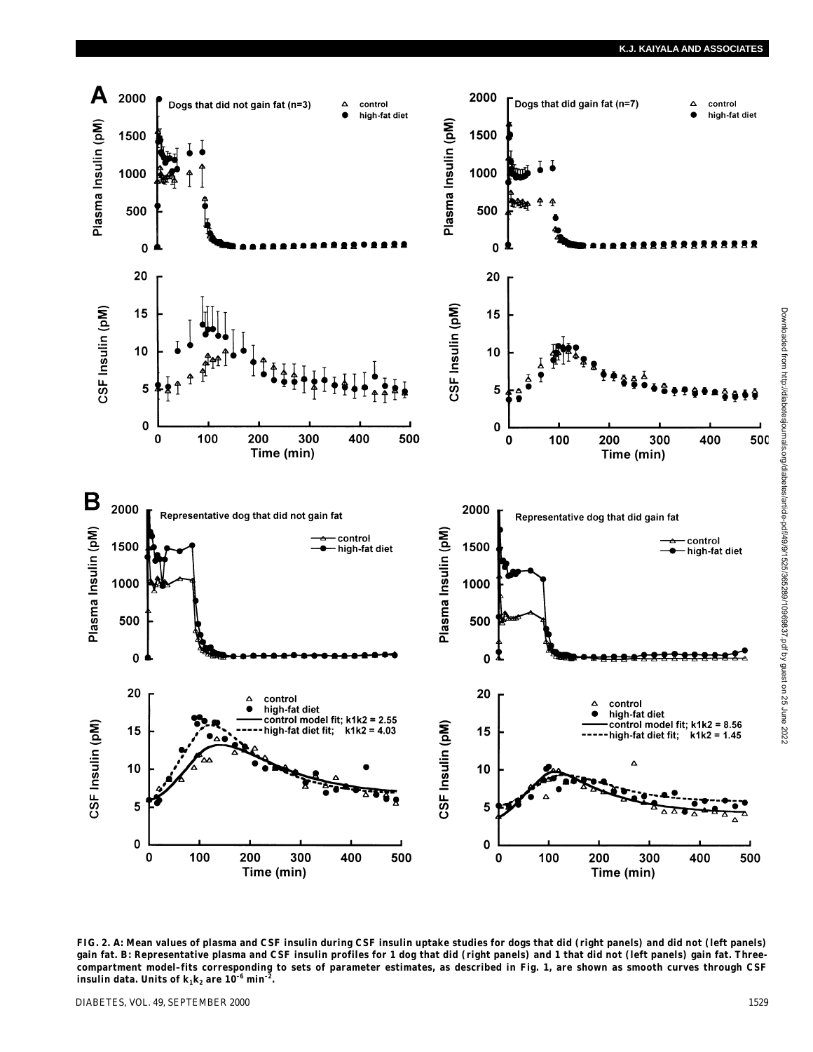

**FIG. 2.** *A***: Mean values of plasma and CSF insulin during CSF insulin uptake studies for dogs that did (right panels) and did not (left panels) gain fat.** *B***: Representative plasma and CSF insulin profiles for 1 dog that did (right panels) and 1 that did not (left panels) gain fat. Threecompartment model–fits corresponding to sets of parameter estimates, as described in Fig. 1, are shown as smooth curves through CSF insulin data.** Units of  $k_1 k_2$  are  $10^{-6}$  min<sup>-2</sup>.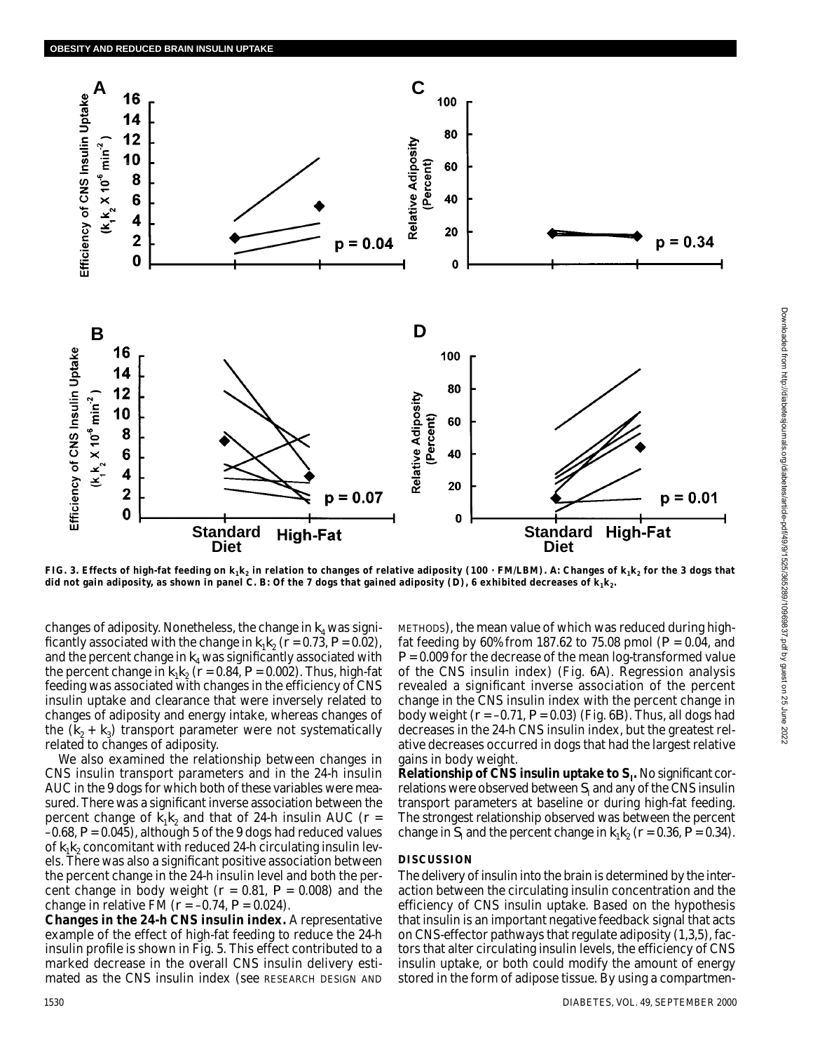

FIG. 3. Effects of high-fat feeding on  $k_1 k_2$  in relation to changes of relative adiposity (100 · FM/LBM). A: Changes of  $k_1 k_2$  for the 3 dogs that did not gain adiposity, as shown in panel C. B: Of the 7 dogs that gained adiposity  $(D)$ , 6 exhibited decreases of  $k_1k_2$ .

changes of adiposity. Nonetheless, the change in  $k_4$  was significantly associated with the change in  $k_1k_2$  ( $r = 0.73$ ,  $P = 0.02$ ), and the percent change in  $k_4$  was significantly associated with the percent change in  $k_1k_2$  ( $r = 0.84$ ,  $P = 0.002$ ). Thus, high-fat feeding was associated with changes in the efficiency of CNS insulin uptake and clearance that were inversely related to changes of adiposity and energy intake, whereas changes of the  $(k_2 + k_3)$  transport parameter were not systematically related to changes of adiposity.

We also examined the relationship between changes in CNS insulin transport parameters and in the 24-h insulin AUC in the 9 dogs for which both of these variables were measured. There was a significant inverse association between the percent change of  $k_1 k_2$  and that of 24-h insulin AUC ( $r =$ –0.68, *P* = 0.045), although 5 of the 9 dogs had reduced values of  $k_1k_2$  concomitant with reduced 24-h circulating insulin levels. There was also a significant positive association between the percent change in the 24-h insulin level and both the percent change in body weight ( $r = 0.81$ ,  $P = 0.008$ ) and the change in relative FM (*r* = –0.74, *P* = 0.024).

**Changes in the 24-h CNS insulin index.** A representative example of the effect of high-fat feeding to reduce the 24-h insulin profile is shown in Fig. 5. This effect contributed to a marked decrease in the overall CNS insulin delivery estimated as the CNS insulin index (see RESEARCH DESIGN AND

METHODS), the mean value of which was reduced during highfat feeding by 60% from 187.62 to 75.08 pmol (*P* = 0.04, and *P* = 0.009 for the decrease of the mean log-transformed value of the CNS insulin index) (Fig. 6*A*). Regression analysis revealed a significant inverse association of the percent change in the CNS insulin index with the percent change in body weight (*r* = –0.71, *P* = 0.03) (Fig. 6*B*). Thus, all dogs had decreases in the 24-h CNS insulin index, but the greatest relative decreases occurred in dogs that had the largest relative gains in body weight.

**Relationship of CNS insulin uptake to** *S***<sup>I</sup> .** No significant correlations were observed between *S*<sub>I</sub> and any of the CNS insulin transport parameters at baseline or during high-fat feeding. The strongest relationship observed was between the percent change in  $S_1$  and the percent change in  $k_1k_2$  ( $r = 0.36$ ,  $P = 0.34$ ).

# **DISCUSSION**

The delivery of insulin into the brain is determined by the interaction between the circulating insulin concentration and the efficiency of CNS insulin uptake. Based on the hypothesis that insulin is an important negative feedback signal that acts on CNS-effector pathways that regulate adiposity (1,3,5), factors that alter circulating insulin levels, the efficiency of CNS insulin uptake, or both could modify the amount of energy stored in the form of adipose tissue. By using a compartmen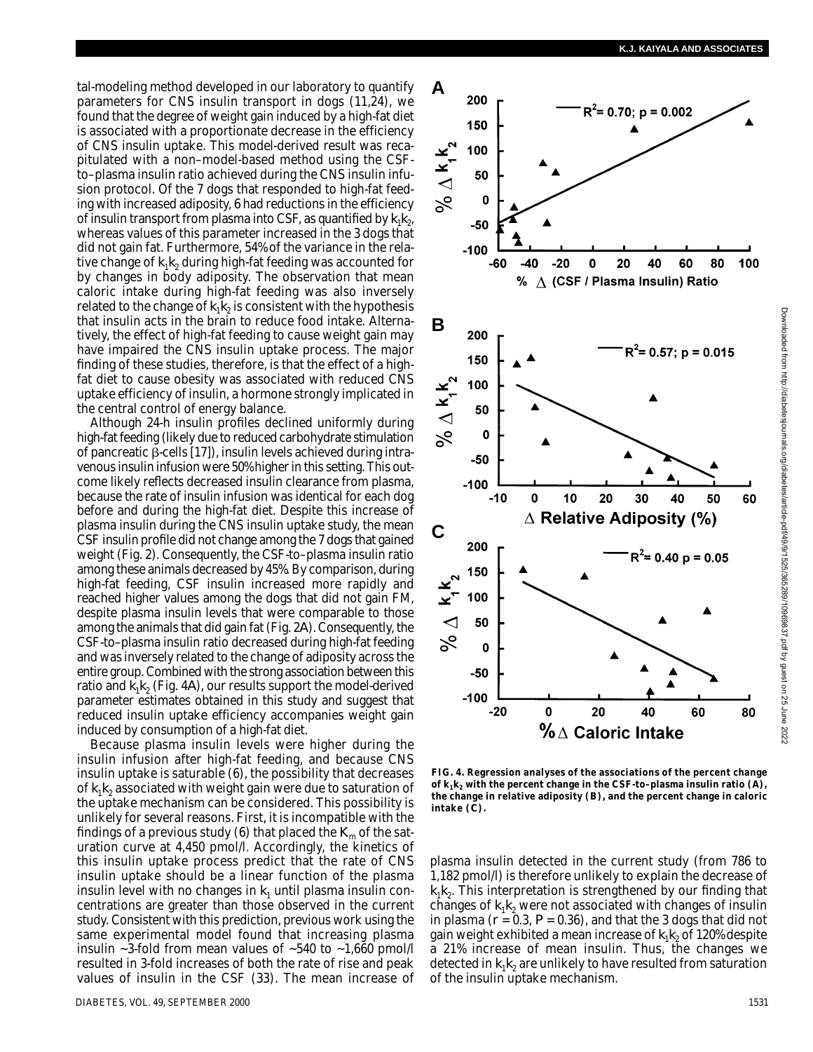tal-modeling method developed in our laboratory to quantify parameters for CNS insulin transport in dogs (11,24), we found that the degree of weight gain induced by a high-fat diet is associated with a proportionate decrease in the efficiency of CNS insulin uptake. This model-derived result was recapitulated with a non–model-based method using the CSFto–plasma insulin ratio achieved during the CNS insulin infusion protocol. Of the 7 dogs that responded to high-fat feeding with increased adiposity, 6 had reductions in the efficiency of insulin transport from plasma into CSF, as quantified by  $k_1k_2$ , whereas values of this parameter increased in the 3 dogs that did not gain fat. Furthermore, 54% of the variance in the relative change of  $k_1 k_2$  during high-fat feeding was accounted for by changes in body adiposity. The observation that mean caloric intake during high-fat feeding was also inversely related to the change of  $k_1 k_2$  is consistent with the hypothesis that insulin acts in the brain to reduce food intake. Alternatively, the effect of high-fat feeding to cause weight gain may have impaired the CNS insulin uptake process. The major finding of these studies, therefore, is that the effect of a highfat diet to cause obesity was associated with reduced CNS uptake efficiency of insulin, a hormone strongly implicated in the central control of energy balance.

Although 24-h insulin profiles declined uniformly during high-fat feeding (likely due to reduced carbohydrate stimulation of pancreatic  $\beta$ -cells [17]), insulin levels achieved during intravenous insulin infusion were 50% higher in this setting. This outcome likely reflects decreased insulin clearance from plasma, because the rate of insulin infusion was identical for each dog before and during the high-fat diet. Despite this increase of plasma insulin during the CNS insulin uptake study, the mean CSF insulin profile did not change among the 7 dogs that gained weight (Fig. 2). Consequently, the CSF-to–plasma insulin ratio among these animals decreased by 45%. By comparison, during high-fat feeding, CSF insulin increased more rapidly and reached higher values among the dogs that did not gain FM, despite plasma insulin levels that were comparable to those among the animals that did gain fat (Fig. 2*A*). Consequently, the CSF-to–plasma insulin ratio decreased during high-fat feeding and was inversely related to the change of adiposity across the entire group. Combined with the strong association between this ratio and  $k_1k_2$  (Fig. 4*A*), our results support the model-derived parameter estimates obtained in this study and suggest that reduced insulin uptake efficiency accompanies weight gain induced by consumption of a high-fat diet.

Because plasma insulin levels were higher during the insulin infusion after high-fat feeding, and because CNS insulin uptake is saturable (6), the possibility that decreases of  $k_1 k_2$  associated with weight gain were due to saturation of the uptake mechanism can be considered. This possibility is unlikely for several reasons. First, it is incompatible with the findings of a previous study (6) that placed the  $K<sub>m</sub>$  of the saturation curve at 4,450 pmol/l. Accordingly, the kinetics of this insulin uptake process predict that the rate of CNS insulin uptake should be a linear function of the plasma insulin level with no changes in  $k_1$  until plasma insulin concentrations are greater than those observed in the current study. Consistent with this prediction, previous work using the same experimental model found that increasing plasma insulin  $\sim$ 3-fold from mean values of  $\sim$ 540 to  $\sim$ 1,660 pmol/l resulted in 3-fold increases of both the rate of rise and peak values of insulin in the CSF (33). The mean increase of



**FIG. 4. Regression analyses of the associations of the percent change** of  $k_1 k_2$  with the percent change in the CSF-to-plasma insulin ratio  $(A)$ , **the change in relative adiposity (***B***), and the percent change in caloric intake (***C***).**

plasma insulin detected in the current study (from 786 to 1,182 pmol/l) is therefore unlikely to explain the decrease of  $k_1 k_2$ . This interpretation is strengthened by our finding that changes of  $k_1 k_2$  were not associated with changes of insulin in plasma  $(r = 0.3, P = 0.36)$ , and that the 3 dogs that did not gain weight exhibited a mean increase of  $k_1 k_2$  of 120% despite a 21% increase of mean insulin. Thus, the changes we detected in  $k_1 k_2$  are unlikely to have resulted from saturation of the insulin uptake mechanism.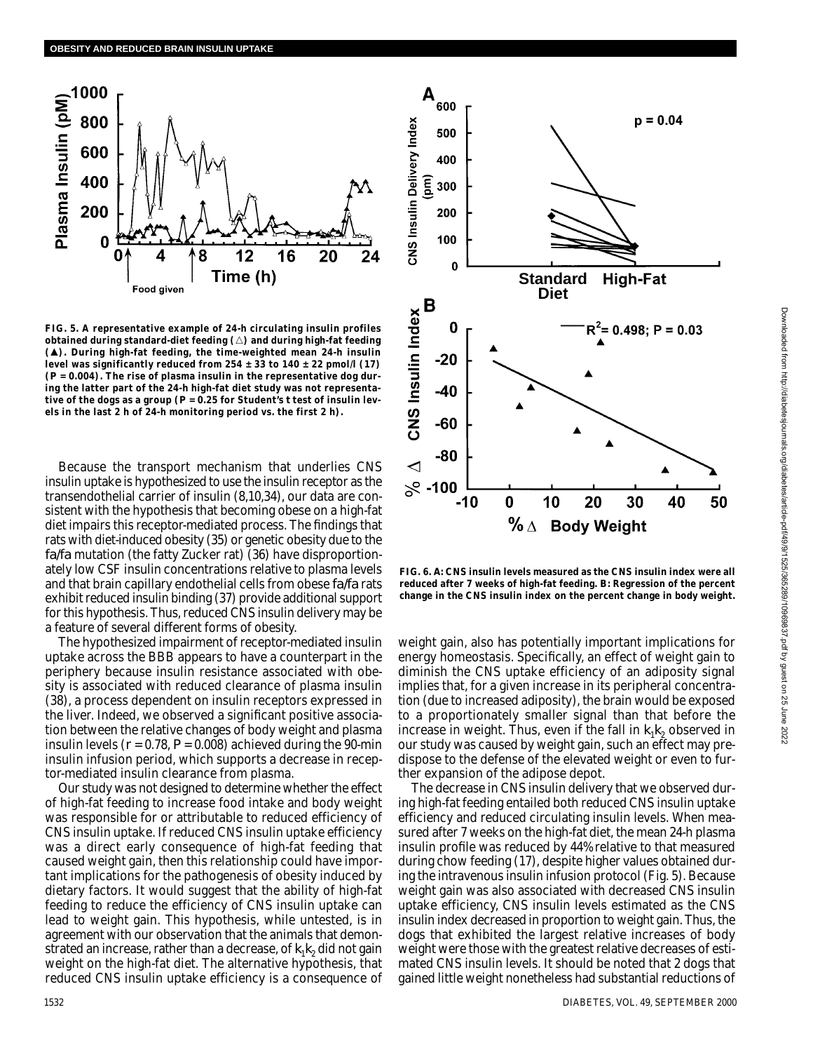

**FIG. 5. A representative example of 24-h circulating insulin profiles** obtained during standard-diet feeding ( $\triangle$ ) and during high-fat feeding **(). During high-fat feeding, the time-weighted mean 24-h insulin** level was significantly reduced from  $254 \pm 33$  to  $140 \pm 22$  pmol/l (17) **(***P* **= 0.004). The rise of plasma insulin in the representative dog during the latter part of the 24-h high-fat diet study was not representative of the dogs as a group (***P* **= 0.25 for Student's** *t* **test of insulin levels in the last 2 h of 24-h monitoring period vs. the first 2 h).**

Because the transport mechanism that underlies CNS insulin uptake is hypothesized to use the insulin receptor as the transendothelial carrier of insulin (8,10,34), our data are consistent with the hypothesis that becoming obese on a high-fat diet impairs this receptor-mediated process. The findings that rats with diet-induced obesity (35) or genetic obesity due to the *fa/fa* mutation (the fatty Zucker rat) (36) have disproportionately low CSF insulin concentrations relative to plasma levels and that brain capillary endothelial cells from obese *fa/fa* rats exhibit reduced insulin binding (37) provide additional support for this hypothesis. Thus, reduced CNS insulin delivery may be a feature of several different forms of obesity.

The hypothesized impairment of receptor-mediated insulin uptake across the BBB appears to have a counterpart in the periphery because insulin resistance associated with obesity is associated with reduced clearance of plasma insulin (38), a process dependent on insulin receptors expressed in the liver. Indeed, we observed a significant positive association between the relative changes of body weight and plasma insulin levels  $(r = 0.78, P = 0.008)$  achieved during the 90-min insulin infusion period, which supports a decrease in receptor-mediated insulin clearance from plasma.

Our study was not designed to determine whether the effect of high-fat feeding to increase food intake and body weight was responsible for or attributable to reduced efficiency of CNS insulin uptake. If reduced CNS insulin uptake efficiency was a direct early consequence of high-fat feeding that caused weight gain, then this relationship could have important implications for the pathogenesis of obesity induced by dietary factors. It would suggest that the ability of high-fat feeding to reduce the efficiency of CNS insulin uptake can lead to weight gain. This hypothesis, while untested, is in agreement with our observation that the animals that demonstrated an increase, rather than a decrease, of  $k_1k_2$  did not gain weight on the high-fat diet. The alternative hypothesis, that reduced CNS insulin uptake efficiency is a consequence of



**FIG. 6.** *A***: CNS insulin levels measured as the CNS insulin index were all reduced after 7 weeks of high-fat feeding.** *B***: Regression of the percent change in the CNS insulin index on the percent change in body weight.**

weight gain, also has potentially important implications for energy homeostasis. Specifically, an effect of weight gain to diminish the CNS uptake efficiency of an adiposity signal implies that, for a given increase in its peripheral concentration (due to increased adiposity), the brain would be exposed to a proportionately smaller signal than that before the increase in weight. Thus, even if the fall in  $k_1k_2$  observed in our study was caused by weight gain, such an effect may predispose to the defense of the elevated weight or even to further expansion of the adipose depot.

The decrease in CNS insulin delivery that we observed during high-fat feeding entailed both reduced CNS insulin uptake efficiency and reduced circulating insulin levels. When measured after 7 weeks on the high-fat diet, the mean 24-h plasma insulin profile was reduced by 44% relative to that measured during chow feeding (17), despite higher values obtained during the intravenous insulin infusion protocol (Fig. 5). Because weight gain was also associated with decreased CNS insulin uptake efficiency, CNS insulin levels estimated as the CNS insulin index decreased in proportion to weight gain. Thus, the dogs that exhibited the largest relative increases of body weight were those with the greatest relative decreases of estimated CNS insulin levels. It should be noted that 2 dogs that gained little weight nonetheless had substantial reductions of